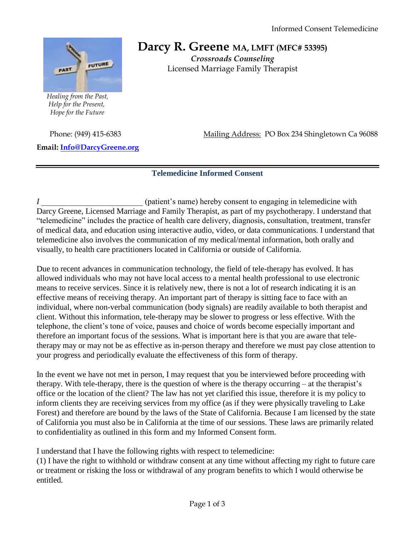

 *Healing from the Past, Help for the Present, Hope for the Future*

Darcy R. Greene MA, LMFT (MFC# 53395) *Crossroads Counseling* Licensed Marriage Family Therapist

**Email: [Info@DarcyGreene.org](mailto:Info@DarcyGreene.org)** 

Phone: (949) 415-6383 Mailing Address: PO Box 234 Shingletown Ca 96088

## **Telemedicine Informed Consent**

*I* (patient's name) hereby consent to engaging in telemedicine with Darcy Greene, Licensed Marriage and Family Therapist, as part of my psychotherapy. I understand that "telemedicine" includes the practice of health care delivery, diagnosis, consultation, treatment, transfer of medical data, and education using interactive audio, video, or data communications. I understand that telemedicine also involves the communication of my medical/mental information, both orally and visually, to health care practitioners located in California or outside of California.

Due to recent advances in communication technology, the field of tele-therapy has evolved. It has allowed individuals who may not have local access to a mental health professional to use electronic means to receive services. Since it is relatively new, there is not a lot of research indicating it is an effective means of receiving therapy. An important part of therapy is sitting face to face with an individual, where non-verbal communication (body signals) are readily available to both therapist and client. Without this information, tele-therapy may be slower to progress or less effective. With the telephone, the client's tone of voice, pauses and choice of words become especially important and therefore an important focus of the sessions. What is important here is that you are aware that teletherapy may or may not be as effective as in-person therapy and therefore we must pay close attention to your progress and periodically evaluate the effectiveness of this form of therapy.

In the event we have not met in person, I may request that you be interviewed before proceeding with therapy. With tele-therapy, there is the question of where is the therapy occurring – at the therapist's office or the location of the client? The law has not yet clarified this issue, therefore it is my policy to inform clients they are receiving services from my office (as if they were physically traveling to Lake Forest) and therefore are bound by the laws of the State of California. Because I am licensed by the state of California you must also be in California at the time of our sessions. These laws are primarily related to confidentiality as outlined in this form and my Informed Consent form.

I understand that I have the following rights with respect to telemedicine:

(1) I have the right to withhold or withdraw consent at any time without affecting my right to future care or treatment or risking the loss or withdrawal of any program benefits to which I would otherwise be entitled.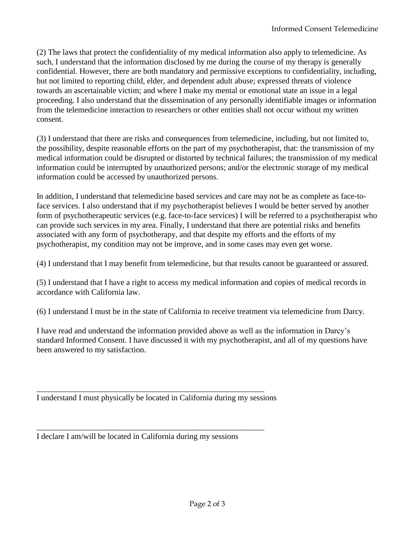(2) The laws that protect the confidentiality of my medical information also apply to telemedicine. As such, I understand that the information disclosed by me during the course of my therapy is generally confidential. However, there are both mandatory and permissive exceptions to confidentiality, including, but not limited to reporting child, elder, and dependent adult abuse; expressed threats of violence towards an ascertainable victim; and where I make my mental or emotional state an issue in a legal proceeding. I also understand that the dissemination of any personally identifiable images or information from the telemedicine interaction to researchers or other entities shall not occur without my written consent.

(3) I understand that there are risks and consequences from telemedicine, including, but not limited to, the possibility, despite reasonable efforts on the part of my psychotherapist, that: the transmission of my medical information could be disrupted or distorted by technical failures; the transmission of my medical information could be interrupted by unauthorized persons; and/or the electronic storage of my medical information could be accessed by unauthorized persons.

In addition, I understand that telemedicine based services and care may not be as complete as face-toface services. I also understand that if my psychotherapist believes I would be better served by another form of psychotherapeutic services (e.g. face-to-face services) I will be referred to a psychotherapist who can provide such services in my area. Finally, I understand that there are potential risks and benefits associated with any form of psychotherapy, and that despite my efforts and the efforts of my psychotherapist, my condition may not be improve, and in some cases may even get worse.

(4) I understand that I may benefit from telemedicine, but that results cannot be guaranteed or assured.

(5) I understand that I have a right to access my medical information and copies of medical records in accordance with California law.

(6) I understand I must be in the state of California to receive treatment via telemedicine from Darcy.

I have read and understand the information provided above as well as the information in Darcy's standard Informed Consent. I have discussed it with my psychotherapist, and all of my questions have been answered to my satisfaction.

I understand I must physically be located in California during my sessions

\_\_\_\_\_\_\_\_\_\_\_\_\_\_\_\_\_\_\_\_\_\_\_\_\_\_\_\_\_\_\_\_\_\_\_\_\_\_\_\_\_\_\_\_\_\_\_\_\_\_\_\_\_\_\_\_

\_\_\_\_\_\_\_\_\_\_\_\_\_\_\_\_\_\_\_\_\_\_\_\_\_\_\_\_\_\_\_\_\_\_\_\_\_\_\_\_\_\_\_\_\_\_\_\_\_\_\_\_\_\_\_\_

I declare I am/will be located in California during my sessions